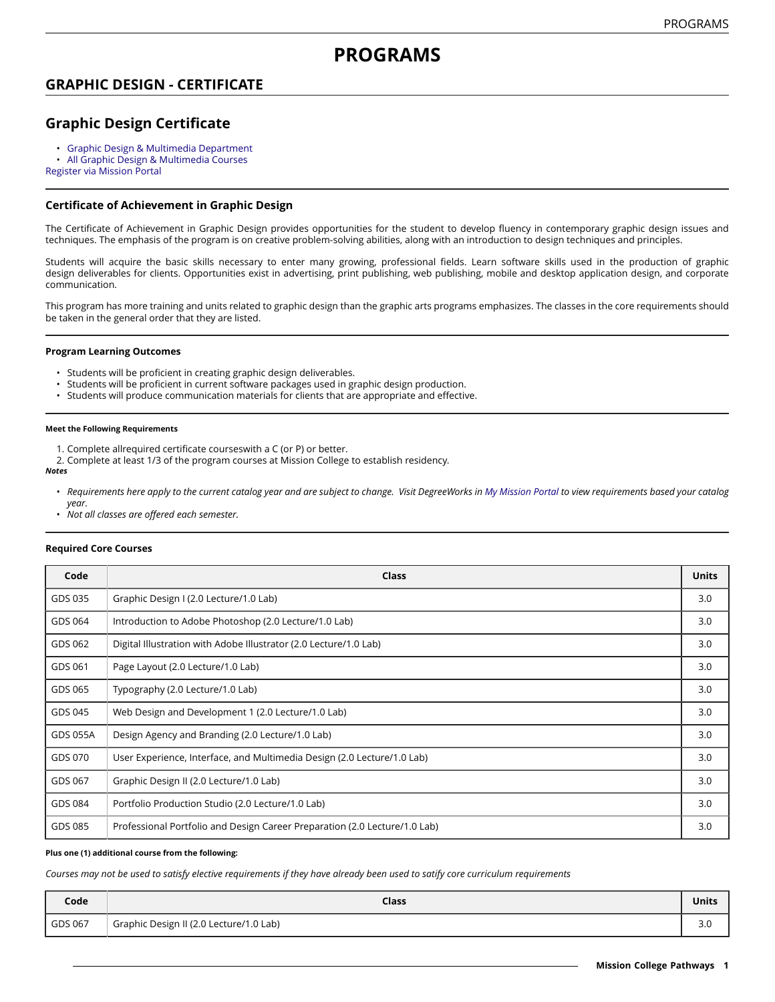# **PROGRAMS**

## **GRAPHIC DESIGN - CERTIFICATE**

## **Graphic Design Certificate**

- Graphic Design & Multimedia [Department](https://missioncollege.edu/depts/graphic-design/)
- All Graphic Design & [Multimedia](http://majors.missioncollege.edu/current/courses/gds.html) Courses

[Register via Mission Portal](https://web.wvm.edu/)

### **Certificate of Achievement in Graphic Design**

The Certificate of Achievement in Graphic Design provides opportunities for the student to develop fluency in contemporary graphic design issues and techniques. The emphasis of the program is on creative problem-solving abilities, along with an introduction to design techniques and principles.

Students will acquire the basic skills necessary to enter many growing, professional fields. Learn software skills used in the production of graphic design deliverables for clients. Opportunities exist in advertising, print publishing, web publishing, mobile and desktop application design, and corporate communication.

This program has more training and units related to graphic design than the graphic arts programs emphasizes. The classes in the core requirements should be taken in the general order that they are listed.

#### **Program Learning Outcomes**

- Students will be proficient in creating graphic design deliverables.
- Students will be proficient in current software packages used in graphic design production.
- Students will produce communication materials for clients that are appropriate and effective.

#### **Meet the Following Requirements**

- 1. Complete allrequired certificate courseswith a C (or P) or better.
- 2. Complete at least 1/3 of the program courses at Mission College to establish residency.

#### *Notes*

- Requirements here apply to the current catalog year and are subject to change. Visit DegreeWorks in [My Mission Portal](https://web.wvm.edu/#/) to view requirements based your catalog *year.*
- *Not all classes are offered each semester.*

#### **Required Core Courses**

| Code            | <b>Class</b>                                                               | <b>Units</b> |
|-----------------|----------------------------------------------------------------------------|--------------|
| GDS 035         | Graphic Design I (2.0 Lecture/1.0 Lab)                                     | 3.0          |
| GDS 064         | Introduction to Adobe Photoshop (2.0 Lecture/1.0 Lab)                      | 3.0          |
| GDS 062         | Digital Illustration with Adobe Illustrator (2.0 Lecture/1.0 Lab)          | 3.0          |
| GDS 061         | Page Layout (2.0 Lecture/1.0 Lab)                                          | 3.0          |
| GDS 065         | Typography (2.0 Lecture/1.0 Lab)                                           | 3.0          |
| GDS 045         | Web Design and Development 1 (2.0 Lecture/1.0 Lab)                         | 3.0          |
| <b>GDS 055A</b> | Design Agency and Branding (2.0 Lecture/1.0 Lab)                           | 3.0          |
| GDS 070         | User Experience, Interface, and Multimedia Design (2.0 Lecture/1.0 Lab)    | 3.0          |
| GDS 067         | Graphic Design II (2.0 Lecture/1.0 Lab)                                    | 3.0          |
| GDS 084         | Portfolio Production Studio (2.0 Lecture/1.0 Lab)                          | 3.0          |
| GDS 085         | Professional Portfolio and Design Career Preparation (2.0 Lecture/1.0 Lab) | 3.0          |

#### **Plus one (1) additional course from the following:**

Courses may not be used to satisfy elective requirements if they have already been used to satify core curriculum requirements

| Code    | Class                                   | <b>Units</b>         |
|---------|-----------------------------------------|----------------------|
| GDS 067 | Graphic Design II (2.0 Lecture/1.0 Lab) | $\sim$ $\sim$<br>J.U |